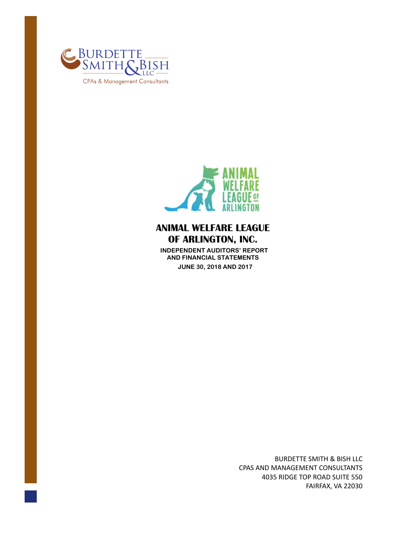



 **INDEPENDENT AUDITORS' REPORT AND FINANCIAL STATEMENTS JUNE 30, 2018 AND 2017** 

> BURDETTE SMITH & BISH LLC CPAS AND MANAGEMENT CONSULTANTS 4035 RIDGE TOP ROAD SUITE 550 FAIRFAX, VA 22030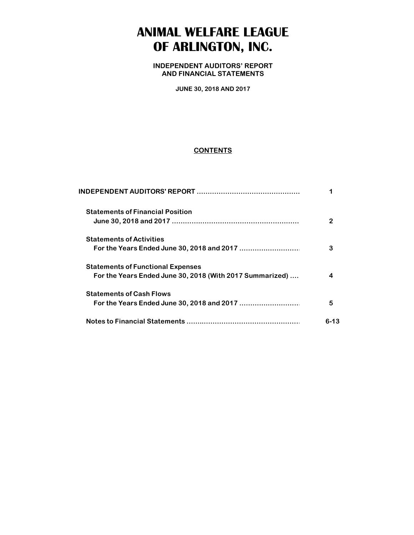**INDEPENDENT AUDITORS' REPORT AND FINANCIAL STATEMENTS**

**JUNE 30, 2018 AND 2017**

### **CONTENTS**

| <b>Statements of Financial Position</b>                  |      |
|----------------------------------------------------------|------|
|                                                          | 2    |
| <b>Statements of Activities</b>                          |      |
|                                                          | 3    |
| <b>Statements of Functional Expenses</b>                 |      |
| For the Years Ended June 30, 2018 (With 2017 Summarized) |      |
| <b>Statements of Cash Flows</b>                          |      |
|                                                          | 5    |
|                                                          | 6-13 |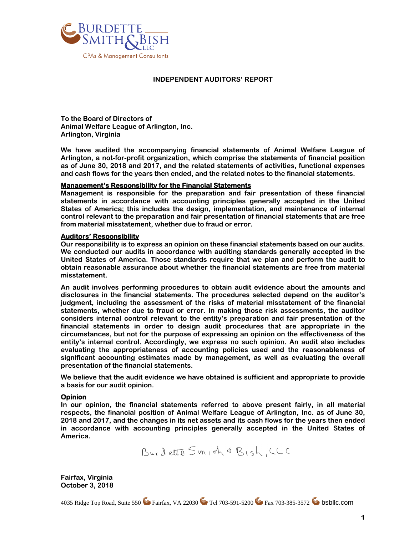

### **INDEPENDENT AUDITORS' REPORT**

**To the Board of Directors of Animal Welfare League of Arlington, Inc. Arlington, Virginia** 

**We have audited the accompanying financial statements of Animal Welfare League of Arlington, a not-for-profit organization, which comprise the statements of financial position as of June 30, 2018 and 2017, and the related statements of activities, functional expenses and cash flows for the years then ended, and the related notes to the financial statements.** 

#### **Management's Responsibility for the Financial Statements**

**Management is responsible for the preparation and fair presentation of these financial statements in accordance with accounting principles generally accepted in the United States of America; this includes the design, implementation, and maintenance of internal control relevant to the preparation and fair presentation of financial statements that are free from material misstatement, whether due to fraud or error.** 

#### **Auditors' Responsibility**

**Our responsibility is to express an opinion on these financial statements based on our audits. We conducted our audits in accordance with auditing standards generally accepted in the United States of America. Those standards require that we plan and perform the audit to obtain reasonable assurance about whether the financial statements are free from material misstatement.** 

**An audit involves performing procedures to obtain audit evidence about the amounts and disclosures in the financial statements. The procedures selected depend on the auditor's judgment, including the assessment of the risks of material misstatement of the financial statements, whether due to fraud or error. In making those risk assessments, the auditor considers internal control relevant to the entity's preparation and fair presentation of the financial statements in order to design audit procedures that are appropriate in the circumstances, but not for the purpose of expressing an opinion on the effectiveness of the entity's internal control. Accordingly, we express no such opinion. An audit also includes evaluating the appropriateness of accounting policies used and the reasonableness of significant accounting estimates made by management, as well as evaluating the overall presentation of the financial statements.** 

**We believe that the audit evidence we have obtained is sufficient and appropriate to provide a basis for our audit opinion.** 

#### **Opinion**

**In our opinion, the financial statements referred to above present fairly, in all material respects, the financial position of Animal Welfare League of Arlington, Inc. as of June 30, 2018 and 2017, and the changes in its net assets and its cash flows for the years then ended in accordance with accounting principles generally accepted in the United States of America.** 

Burdette Smith & Bish, LLC

**Fairfax, Virginia October 3, 2018** 

4035 Ridge Top Road, Suite 550 Fairfax, VA 22030 Tel 703-591-5200 Fax 703-385-3572 bsbllc.com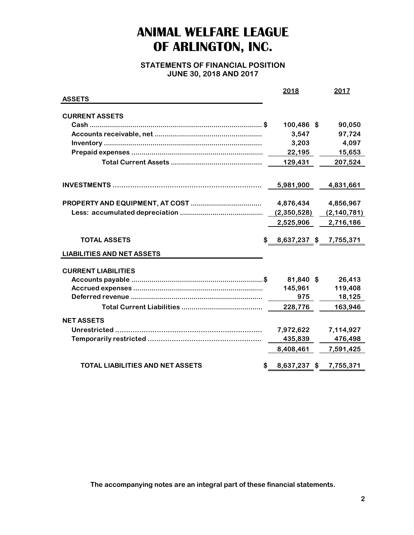**STATEMENTS OF FINANCIAL POSITION JUNE 30, 2018 AND 2017**

|                                         | 2018                     | 2017          |
|-----------------------------------------|--------------------------|---------------|
| <b>ASSETS</b>                           |                          |               |
| <b>CURRENT ASSETS</b>                   |                          |               |
|                                         | 100,486 \$               | 90,050        |
|                                         | 3,547                    | 97,724        |
|                                         | 3,203                    | 4,097         |
|                                         | 22,195                   | 15,653        |
|                                         | 129,431                  | 207,524       |
|                                         |                          |               |
|                                         | 5,981,900                | 4,831,661     |
|                                         |                          |               |
|                                         | 4,876,434                | 4,856,967     |
|                                         | (2,350,528)              | (2, 140, 781) |
|                                         | 2,525,906                | 2,716,186     |
| \$<br><b>TOTAL ASSETS</b>               | 8,637,237 \$             | 7,755,371     |
| <b>LIABILITIES AND NET ASSETS</b>       |                          |               |
|                                         |                          |               |
| <b>CURRENT LIABILITIES</b>              | 81,840 \$                | 26,413        |
|                                         | 145,961                  | 119,408       |
|                                         | 975                      | 18,125        |
|                                         | 228,776                  | 163,946       |
| <b>NET ASSETS</b>                       |                          |               |
|                                         | 7,972,622                | 7,114,927     |
|                                         |                          |               |
|                                         | 435,839                  | 476,498       |
|                                         | 8,408,461                | 7,591,425     |
| <b>TOTAL LIABILITIES AND NET ASSETS</b> | $$8,637,237$ \$7,755,371 |               |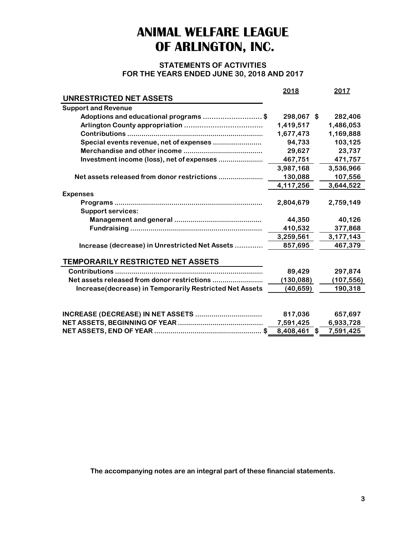### **STATEMENTS OF ACTIVITIES FOR THE YEARS ENDED JUNE 30, 2018 AND 2017**

|                                                         | 2018            | 2017      |
|---------------------------------------------------------|-----------------|-----------|
| UNRESTRICTED NET ASSETS                                 |                 |           |
| <b>Support and Revenue</b>                              |                 |           |
| Adoptions and educational programs \$                   | 298,067 \$      | 282,406   |
|                                                         | 1,419,517       | 1,486,053 |
|                                                         | 1,677,473       | 1,169,888 |
| Special events revenue, net of expenses                 | 94,733          | 103,125   |
|                                                         | 29,627          | 23,737    |
| Investment income (loss), net of expenses               | 467,751         | 471,757   |
|                                                         | 3,987,168       | 3,536,966 |
| Net assets released from donor restrictions             | 130,088         | 107,556   |
|                                                         | 4,117,256       | 3,644,522 |
| <b>Expenses</b>                                         |                 |           |
|                                                         | 2,804,679       | 2,759,149 |
| <b>Support services:</b>                                |                 |           |
|                                                         | 44,350          | 40,126    |
|                                                         | 410,532         | 377,868   |
|                                                         | 3,259,561       | 3,177,143 |
| Increase (decrease) in Unrestricted Net Assets          | 857,695         | 467,379   |
| TEMPORARILY RESTRICTED NET ASSETS                       |                 |           |
| Contributions                                           | 89,429          | 297,874   |
|                                                         | (130, 088)      | (107,556) |
| Increase(decrease) in Temporarily Restricted Net Assets | (40, 659)       | 190,318   |
|                                                         |                 |           |
|                                                         | 817,036         | 657,697   |
|                                                         | 7,591,425       | 6,933,728 |
|                                                         | 8,408,461<br>\$ | 7,591,425 |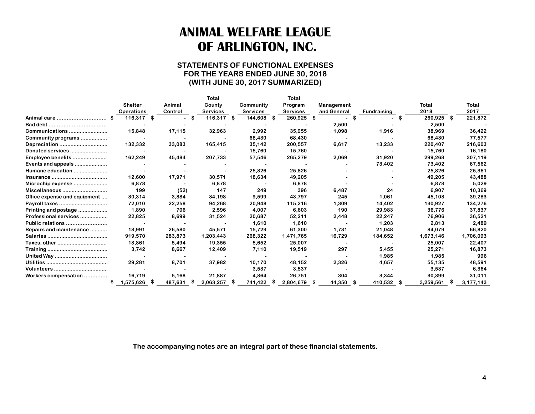### **STATEMENTS OF FUNCTIONAL EXPENSES FOR THE YEARS ENDED JUNE 30, 2018 (WITH JUNE 30, 2017 SUMMARIZED)**

|                              |                |         | Total           |                 | Total              |             |                    |                   |                 |
|------------------------------|----------------|---------|-----------------|-----------------|--------------------|-------------|--------------------|-------------------|-----------------|
|                              | <b>Shelter</b> | Animal  | County          | Community       | Program            | Management  |                    | Total             | Total           |
|                              | Operations     | Control | <b>Services</b> | <b>Services</b> | <b>Services</b>    | and General | <b>Fundraising</b> | 2018              | 2017            |
|                              | 116,317 \$     |         | 116,317         | 144,608<br>- SS | 260,925 \$<br>- 56 |             |                    | 260,925<br>S      | 221,872<br>- \$ |
|                              |                |         |                 |                 |                    | 2,500       |                    | 2,500             |                 |
| Communications               | 15,848         | 17,115  | 32,963          | 2,992           | 35,955             | 1,098       | 1,916              | 38,969            | 36,422          |
| Community programs           |                |         |                 | 68,430          | 68,430             |             |                    | 68,430            | 77,577          |
| Depreciation                 | 132,332        | 33,083  | 165,415         | 35,142          | 200,557            | 6,617       | 13,233             | 220,407           | 216,603         |
| Donated services             |                |         |                 | 15,760          | 15,760             |             |                    | 15,760            | 16,180          |
| Employee benefits            | 162,249        | 45,484  | 207,733         | 57,546          | 265,279            | 2,069       | 31,920             | 299,268           | 307,119         |
| Events and appeals           |                |         |                 |                 |                    |             | 73,402             | 73,402            | 67,562          |
| Humane education             |                |         |                 | 25,826          | 25,826             |             |                    | 25,826            | 25,361          |
|                              | 12,600         | 17,971  | 30,571          | 18,634          | 49,205             |             |                    | 49,205            | 43,488          |
| Microchip expense            | 6,878          |         | 6,878           |                 | 6,878              |             |                    | 6,878             | 5,029           |
| Miscellaneous                | 199            | (52)    | 147             | 249             | 396                | 6,487       | 24                 | 6,907             | 10,369          |
| Office expense and equipment | 30,314         | 3,884   | 34,198          | 9,599           | 43,797             | 245         | 1,061              | 45,103            | 39,283          |
| Payroll taxes                | 72,010         | 22,258  | 94,268          | 20,948          | 115,216            | 1,309       | 14,402             | 130,927           | 134,276         |
| Printing and postage         | 1.890          | 706     | 2,596           | 4,007           | 6,603              | 190         | 29,983             | 36,776            | 37,837          |
| Professional services        | 22,825         | 8,699   | 31,524          | 20,687          | 52,211             | 2,448       | 22,247             | 76,906            | 36,521          |
| Public relations             |                |         |                 | 1,610           | 1,610              |             | 1,203              | 2,813             | 2,489           |
| Repairs and maintenance      | 18,991         | 26,580  | 45,571          | 15,729          | 61,300             | 1.731       | 21,048             | 84,079            | 66,820          |
|                              | 919,570        | 283,873 | 1,203,443       | 268,322         | 1,471,765          | 16,729      | 184,652            | 1,673,146         | 1,706,093       |
| Taxes. other                 | 13,861         | 5,494   | 19,355          | 5,652           | 25,007             |             |                    | 25,007            | 22,407          |
|                              | 3,742          | 8,667   | 12,409          | 7,110           | 19,519             | 297         | 5,455              | 25,271            | 16,873          |
|                              |                |         |                 |                 |                    |             | 1,985              | 1,985             | 996             |
|                              | 29,281         | 8,701   | 37,982          | 10,170          | 48,152             | 2,326       | 4,657              | 55,135            | 48,591          |
|                              |                |         |                 | 3,537           | 3,537              |             |                    | 3,537             | 6,364           |
| Workers compensation         | 16,719         | 5,168   | 21,887          | 4,864           | 26,751             | 304         | 3,344              | 30,399            | 31,011          |
|                              | 1,575,626      | 487,631 | 2,063,257 \$    | 741,422         | 2,804,679          | 44,350      | 410,532            | 3,259,561<br>- 36 | 3,177,143       |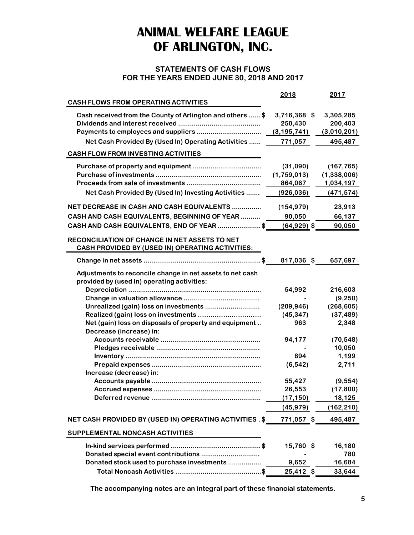### **STATEMENTS OF CASH FLOWS FOR THE YEARS ENDED JUNE 30, 2018 AND 2017**

|                                                                                    | <u>2018</u>   | <u> 2017 </u> |
|------------------------------------------------------------------------------------|---------------|---------------|
| <b>CASH FLOWS FROM OPERATING ACTIVITIES</b>                                        |               |               |
| Cash received from the County of Arlington and others  \$                          | 3,716,368 \$  | 3,305,285     |
|                                                                                    | 250,430       | 200,403       |
|                                                                                    | (3, 195, 741) | (3,010,201)   |
| Net Cash Provided By (Used In) Operating Activities                                | 771,057       | 495,487       |
| <b>CASH FLOW FROM INVESTING ACTIVITIES</b>                                         |               |               |
|                                                                                    | (31,090)      | (167, 765)    |
|                                                                                    | (1,759,013)   | (1,338,006)   |
|                                                                                    | 864,067       | 1,034,197     |
| Net Cash Provided By (Used In) Investing Activities                                | (926, 036)    | (471, 574)    |
| NET DECREASE IN CASH AND CASH EQUIVALENTS                                          | (154, 979)    | 23,913        |
| CASH AND CASH EQUIVALENTS, BEGINNING OF YEAR                                       | 90,050        | 66,137        |
| CASH AND CASH EQUIVALENTS, END OF YEAR \$                                          | $(64,929)$ \$ | 90,050        |
| <b>RECONCILIATION OF CHANGE IN NET ASSETS TO NET</b>                               |               |               |
| CASH PROVIDED BY (USED IN) OPERATING ACTIVITIES:                                   |               |               |
|                                                                                    |               | 657,697       |
| Adjustments to reconcile change in net assets to net cash                          |               |               |
| provided by (used in) operating activities:                                        |               |               |
|                                                                                    | 54,992        | 216,603       |
|                                                                                    |               | (9,250)       |
| Unrealized (gain) loss on investments                                              | (209, 946)    | (268, 605)    |
|                                                                                    | (45, 347)     | (37, 489)     |
| Net (gain) loss on disposals of property and equipment.<br>Decrease (increase) in: | 963           | 2,348         |
|                                                                                    | 94,177        | (70, 548)     |
|                                                                                    |               | 10,050        |
|                                                                                    | 894           | 1,199         |
|                                                                                    | (6, 542)      | 2,711         |
| Increase (decrease) in:                                                            |               |               |
|                                                                                    | 55,427        | (9, 554)      |
|                                                                                    | 26,553        | (17,800)      |
|                                                                                    | (17, 150)     | 18,125        |
|                                                                                    | (45, 979)     | (162, 210)    |
| NET CASH PROVIDED BY (USED IN) OPERATING ACTIVITIES . \$                           | 771,057 \$    | 495,487       |
| SUPPLEMENTAL NONCASH ACTIVITIES                                                    |               |               |
|                                                                                    | 15,760 \$     | 16,180        |
| Donated special event contributions                                                |               | 780           |
| Donated stock used to purchase investments                                         | 9,652         | 16,684        |
|                                                                                    | 25,412 \$     | 33,644        |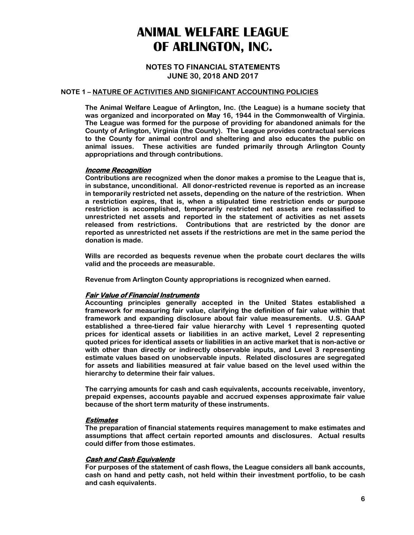**NOTES TO FINANCIAL STATEMENTS JUNE 30, 2018 AND 2017**

#### **NOTE 1 – NATURE OF ACTIVITIES AND SIGNIFICANT ACCOUNTING POLICIES**

**The Animal Welfare League of Arlington, Inc. (the League) is a humane society that was organized and incorporated on May 16, 1944 in the Commonwealth of Virginia. The League was formed for the purpose of providing for abandoned animals for the County of Arlington, Virginia (the County). The League provides contractual services to the County for animal control and sheltering and also educates the public on animal issues. These activities are funded primarily through Arlington County appropriations and through contributions.** 

#### **Income Recognition**

**Contributions are recognized when the donor makes a promise to the League that is, in substance, unconditional. All donor-restricted revenue is reported as an increase in temporarily restricted net assets, depending on the nature of the restriction. When a restriction expires, that is, when a stipulated time restriction ends or purpose restriction is accomplished, temporarily restricted net assets are reclassified to unrestricted net assets and reported in the statement of activities as net assets released from restrictions. Contributions that are restricted by the donor are reported as unrestricted net assets if the restrictions are met in the same period the donation is made.** 

**Wills are recorded as bequests revenue when the probate court declares the wills valid and the proceeds are measurable.** 

**Revenue from Arlington County appropriations is recognized when earned.** 

#### **Fair Value of Financial Instruments**

**Accounting principles generally accepted in the United States established a framework for measuring fair value, clarifying the definition of fair value within that framework and expanding disclosure about fair value measurements. U.S. GAAP established a three-tiered fair value hierarchy with Level 1 representing quoted prices for identical assets or liabilities in an active market, Level 2 representing quoted prices for identical assets or liabilities in an active market that is non-active or with other than directly or indirectly observable inputs, and Level 3 representing estimate values based on unobservable inputs. Related disclosures are segregated for assets and liabilities measured at fair value based on the level used within the hierarchy to determine their fair values.** 

**The carrying amounts for cash and cash equivalents, accounts receivable, inventory, prepaid expenses, accounts payable and accrued expenses approximate fair value because of the short term maturity of these instruments.** 

#### **Estimates**

**The preparation of financial statements requires management to make estimates and assumptions that affect certain reported amounts and disclosures. Actual results could differ from those estimates.** 

#### **Cash and Cash Equivalents**

**For purposes of the statement of cash flows, the League considers all bank accounts, cash on hand and petty cash, not held within their investment portfolio, to be cash and cash equivalents.**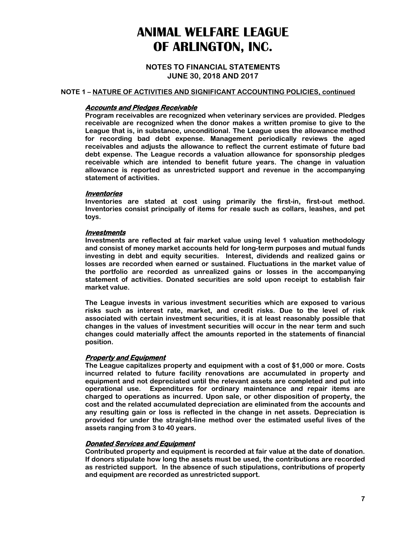### **NOTES TO FINANCIAL STATEMENTS JUNE 30, 2018 AND 2017**

#### **NOTE 1 – NATURE OF ACTIVITIES AND SIGNIFICANT ACCOUNTING POLICIES, continued**

#### **Accounts and Pledges Receivable**

**Program receivables are recognized when veterinary services are provided. Pledges receivable are recognized when the donor makes a written promise to give to the League that is, in substance, unconditional. The League uses the allowance method for recording bad debt expense. Management periodically reviews the aged receivables and adjusts the allowance to reflect the current estimate of future bad debt expense. The League records a valuation allowance for sponsorship pledges receivable which are intended to benefit future years. The change in valuation allowance is reported as unrestricted support and revenue in the accompanying statement of activities.** 

#### **Inventories**

**Inventories are stated at cost using primarily the first-in, first-out method. Inventories consist principally of items for resale such as collars, leashes, and pet toys.** 

#### **Investments**

**Investments are reflected at fair market value using level 1 valuation methodology and consist of money market accounts held for long-term purposes and mutual funds investing in debt and equity securities. Interest, dividends and realized gains or losses are recorded when earned or sustained. Fluctuations in the market value of the portfolio are recorded as unrealized gains or losses in the accompanying statement of activities. Donated securities are sold upon receipt to establish fair market value.** 

**The League invests in various investment securities which are exposed to various risks such as interest rate, market, and credit risks. Due to the level of risk associated with certain investment securities, it is at least reasonably possible that changes in the values of investment securities will occur in the near term and such changes could materially affect the amounts reported in the statements of financial position.** 

#### **Property and Equipment**

**The League capitalizes property and equipment with a cost of \$1,000 or more. Costs incurred related to future facility renovations are accumulated in property and equipment and not depreciated until the relevant assets are completed and put into operational use. Expenditures for ordinary maintenance and repair items are charged to operations as incurred. Upon sale, or other disposition of property, the cost and the related accumulated depreciation are eliminated from the accounts and any resulting gain or loss is reflected in the change in net assets. Depreciation is provided for under the straight-line method over the estimated useful lives of the assets ranging from 3 to 40 years.** 

### **Donated Services and Equipment**

**Contributed property and equipment is recorded at fair value at the date of donation. If donors stipulate how long the assets must be used, the contributions are recorded as restricted support. In the absence of such stipulations, contributions of property and equipment are recorded as unrestricted support.**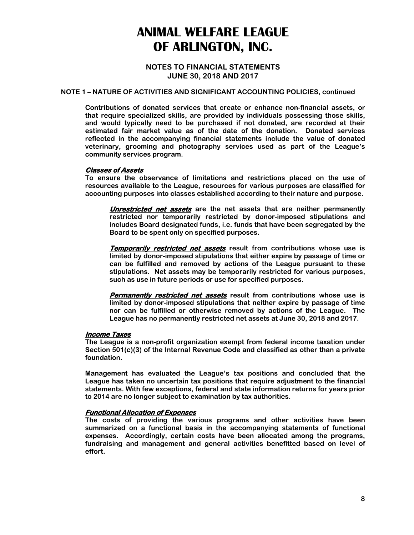**NOTES TO FINANCIAL STATEMENTS JUNE 30, 2018 AND 2017**

#### **NOTE 1 – NATURE OF ACTIVITIES AND SIGNIFICANT ACCOUNTING POLICIES, continued**

**Contributions of donated services that create or enhance non-financial assets, or that require specialized skills, are provided by individuals possessing those skills, and would typically need to be purchased if not donated, are recorded at their estimated fair market value as of the date of the donation. Donated services reflected in the accompanying financial statements include the value of donated veterinary, grooming and photography services used as part of the League's community services program.** 

#### **Classes of Assets**

**To ensure the observance of limitations and restrictions placed on the use of resources available to the League, resources for various purposes are classified for accounting purposes into classes established according to their nature and purpose.** 

**Unrestricted net assets are the net assets that are neither permanently restricted nor temporarily restricted by donor-imposed stipulations and includes Board designated funds, i.e. funds that have been segregated by the Board to be spent only on specified purposes.** 

**Temporarily restricted net assets result from contributions whose use is limited by donor-imposed stipulations that either expire by passage of time or can be fulfilled and removed by actions of the League pursuant to these stipulations. Net assets may be temporarily restricted for various purposes, such as use in future periods or use for specified purposes.** 

**Permanently restricted net assets result from contributions whose use is limited by donor-imposed stipulations that neither expire by passage of time nor can be fulfilled or otherwise removed by actions of the League. The League has no permanently restricted net assets at June 30, 2018 and 2017.** 

#### **Income Taxes**

**The League is a non-profit organization exempt from federal income taxation under Section 501(c)(3) of the Internal Revenue Code and classified as other than a private foundation.** 

**Management has evaluated the League's tax positions and concluded that the League has taken no uncertain tax positions that require adjustment to the financial statements. With few exceptions, federal and state information returns for years prior to 2014 are no longer subject to examination by tax authorities.** 

### **Functional Allocation of Expenses**

**The costs of providing the various programs and other activities have been summarized on a functional basis in the accompanying statements of functional expenses. Accordingly, certain costs have been allocated among the programs, fundraising and management and general activities benefitted based on level of effort.**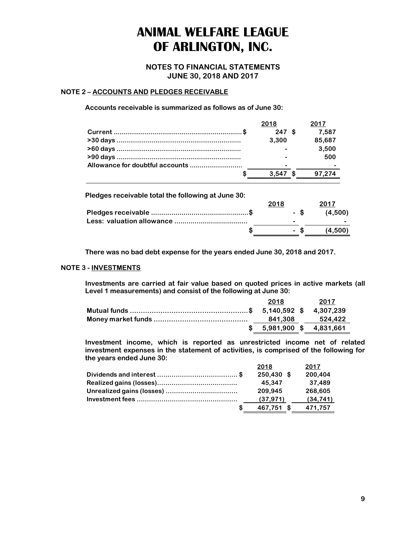**NOTES TO FINANCIAL STATEMENTS JUNE 30, 2018 AND 2017**

#### **NOTE 2 – ACCOUNTS AND PLEDGES RECEIVABLE**

 **Accounts receivable is summarized as follows as of June 30:** 

|                                                    | 2018  | 2017   |
|----------------------------------------------------|-------|--------|
|                                                    | 247S  | 7.587  |
|                                                    | 3.300 | 85,687 |
|                                                    |       | 3.500  |
|                                                    |       | 500    |
|                                                    |       |        |
|                                                    | 3.547 | 97.274 |
| Pledges receivable total the following at June 30: |       |        |
|                                                    |       |        |

| 2018 |      |         |
|------|------|---------|
|      | - \$ | (4.500) |
|      |      |         |
|      |      | (4.500) |
|      |      |         |

**There was no bad debt expense for the years ended June 30, 2018 and 2017.** 

#### **NOTE 3 - INVESTMENTS**

**Investments are carried at fair value based on quoted prices in active markets (all Level 1 measurements) and consist of the following at June 30:** 

| 2018                   | 2017            |
|------------------------|-----------------|
|                        |                 |
|                        | 841.308 524.422 |
| 5,981,900 \$ 4,831,661 |                 |

**Investment income, which is reported as unrestricted income net of related investment expenses in the statement of activities, is comprised of the following for the years ended June 30:**

|   | 2018       | 2017     |
|---|------------|----------|
|   | 250,430 \$ | 200,404  |
|   | 45.347     | 37.489   |
|   | 209.945    | 268,605  |
|   | (37.971)   | (34.741) |
| S | 467,751 \$ | 471.757  |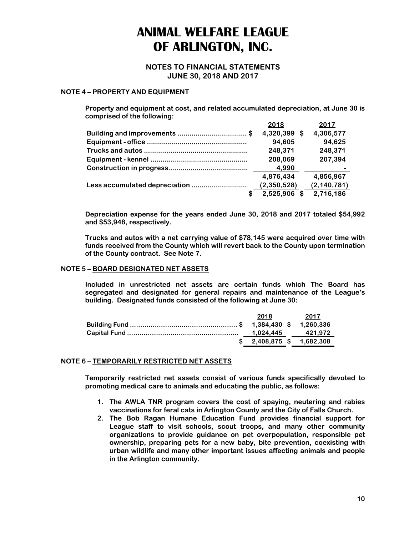#### **NOTES TO FINANCIAL STATEMENTS JUNE 30, 2018 AND 2017**

#### **NOTE 4 – PROPERTY AND EQUIPMENT**

**Property and equipment at cost, and related accumulated depreciation, at June 30 is comprised of the following:** 

|                               | 2018           | 2017          |
|-------------------------------|----------------|---------------|
|                               | 4,320,399<br>S | 4,306,577     |
|                               | 94,605         | 94,625        |
|                               | 248,371        | 248,371       |
|                               | 208,069        | 207,394       |
|                               | 4,990          |               |
|                               | 4,876,434      | 4,856,967     |
| Less accumulated depreciation | (2,350,528)    | (2, 140, 781) |
|                               | 2,525,906      | 2,716,186     |

**Depreciation expense for the years ended June 30, 2018 and 2017 totaled \$54,992 and \$53,948, respectively.** 

**Trucks and autos with a net carrying value of \$78,145 were acquired over time with funds received from the County which will revert back to the County upon termination of the County contract. See Note 7.** 

#### **NOTE 5 – BOARD DESIGNATED NET ASSETS**

**Included in unrestricted net assets are certain funds which The Board has segregated and designated for general repairs and maintenance of the League's building. Designated funds consisted of the following at June 30:** 

| 2018                     | 2017 |
|--------------------------|------|
|                          |      |
| 1,024,445 421,972        |      |
| $$2,408,875$ \$1,682,308 |      |

#### **NOTE 6 – TEMPORARILY RESTRICTED NET ASSETS**

**Temporarily restricted net assets consist of various funds specifically devoted to promoting medical care to animals and educating the public, as follows:** 

- **1. The AWLA TNR program covers the cost of spaying, neutering and rabies vaccinations for feral cats in Arlington County and the City of Falls Church.**
- **2. The Bob Ragan Humane Education Fund provides financial support for League staff to visit schools, scout troops, and many other community organizations to provide guidance on pet overpopulation, responsible pet ownership, preparing pets for a new baby, bite prevention, coexisting with urban wildlife and many other important issues affecting animals and people in the Arlington community.**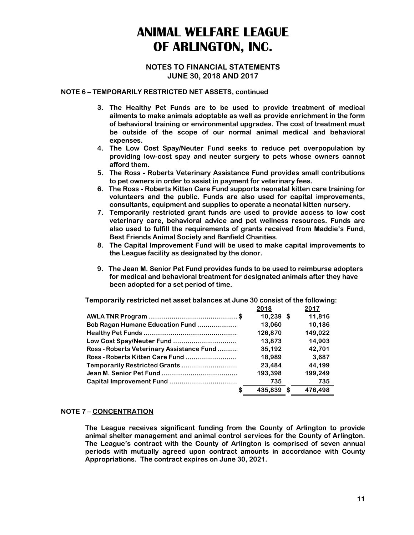### **NOTES TO FINANCIAL STATEMENTS JUNE 30, 2018 AND 2017**

#### **NOTE 6 – TEMPORARILY RESTRICTED NET ASSETS, continued**

- **3. The Healthy Pet Funds are to be used to provide treatment of medical ailments to make animals adoptable as well as provide enrichment in the form of behavioral training or environmental upgrades. The cost of treatment must be outside of the scope of our normal animal medical and behavioral expenses.**
- **4. The Low Cost Spay/Neuter Fund seeks to reduce pet overpopulation by providing low-cost spay and neuter surgery to pets whose owners cannot afford them.**
- **5. The Ross Roberts Veterinary Assistance Fund provides small contributions to pet owners in order to assist in payment for veterinary fees.**
- **6. The Ross Roberts Kitten Care Fund supports neonatal kitten care training for volunteers and the public. Funds are also used for capital improvements, consultants, equipment and supplies to operate a neonatal kitten nursery.**
- **7. Temporarily restricted grant funds are used to provide access to low cost veterinary care, behavioral advice and pet wellness resources. Funds are also used to fulfill the requirements of grants received from Maddie's Fund, Best Friends Animal Society and Banfield Charities.**
- **8. The Capital Improvement Fund will be used to make capital improvements to the League facility as designated by the donor.**
- **9. The Jean M. Senior Pet Fund provides funds to be used to reimburse adopters for medical and behavioral treatment for designated animals after they have been adopted for a set period of time.**

**Temporarily restricted net asset balances at June 30 consist of the following:**

|                                           | 2018    | 2017         |
|-------------------------------------------|---------|--------------|
|                                           | 10,239  | \$<br>11,816 |
| Bob Ragan Humane Education Fund           | 13,060  | 10.186       |
|                                           | 126,870 | 149,022      |
| Low Cost Spay/Neuter Fund                 | 13,873  | 14.903       |
| Ross - Roberts Veterinary Assistance Fund | 35,192  | 42.701       |
| Ross - Roberts Kitten Care Fund           | 18,989  | 3,687        |
| Temporarily Restricted Grants             | 23,484  | 44.199       |
|                                           | 193,398 | 199,249      |
|                                           | 735     | 735          |
|                                           | 435,839 | 476.498      |

### **NOTE 7 – CONCENTRATION**

**The League receives significant funding from the County of Arlington to provide animal shelter management and animal control services for the County of Arlington. The League's contract with the County of Arlington is comprised of seven annual periods with mutually agreed upon contract amounts in accordance with County Appropriations. The contract expires on June 30, 2021.**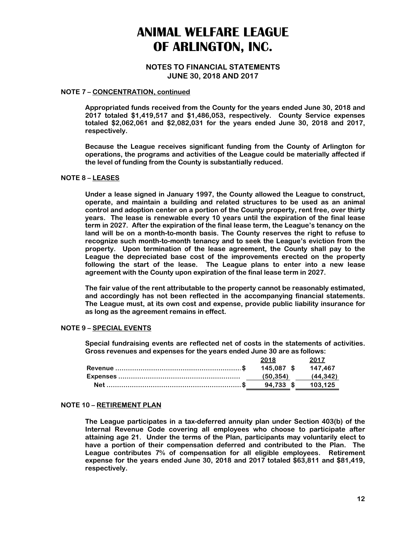#### **NOTES TO FINANCIAL STATEMENTS JUNE 30, 2018 AND 2017**

#### **NOTE 7 – CONCENTRATION, continued**

**Appropriated funds received from the County for the years ended June 30, 2018 and 2017 totaled \$1,419,517 and \$1,486,053, respectively. County Service expenses totaled \$2,062,061 and \$2,082,031 for the years ended June 30, 2018 and 2017, respectively.** 

**Because the League receives significant funding from the County of Arlington for operations, the programs and activities of the League could be materially affected if the level of funding from the County is substantially reduced.**

#### **NOTE 8 – LEASES**

**Under a lease signed in January 1997, the County allowed the League to construct, operate, and maintain a building and related structures to be used as an animal control and adoption center on a portion of the County property, rent free, over thirty years. The lease is renewable every 10 years until the expiration of the final lease term in 2027. After the expiration of the final lease term, the League's tenancy on the land will be on a month-to-month basis. The County reserves the right to refuse to recognize such month-to-month tenancy and to seek the League's eviction from the property. Upon termination of the lease agreement, the County shall pay to the League the depreciated base cost of the improvements erected on the property following the start of the lease. The League plans to enter into a new lease agreement with the County upon expiration of the final lease term in 2027.** 

**The fair value of the rent attributable to the property cannot be reasonably estimated, and accordingly has not been reflected in the accompanying financial statements. The League must, at its own cost and expense, provide public liability insurance for as long as the agreement remains in effect.** 

#### **NOTE 9 – SPECIAL EVENTS**

**Special fundraising events are reflected net of costs in the statements of activities. Gross revenues and expenses for the years ended June 30 are as follows:** 

| 2018      | 2017                  |
|-----------|-----------------------|
|           | 145.087 \$ 147.467    |
|           | $(50,354)$ $(44,342)$ |
| 94.733 \$ | 103.125               |

#### **NOTE 10 – RETIREMENT PLAN**

**The League participates in a tax-deferred annuity plan under Section 403(b) of the Internal Revenue Code covering all employees who choose to participate after attaining age 21. Under the terms of the Plan, participants may voluntarily elect to have a portion of their compensation deferred and contributed to the Plan. The League contributes 7% of compensation for all eligible employees. Retirement expense for the years ended June 30, 2018 and 2017 totaled \$63,811 and \$81,419, respectively.**